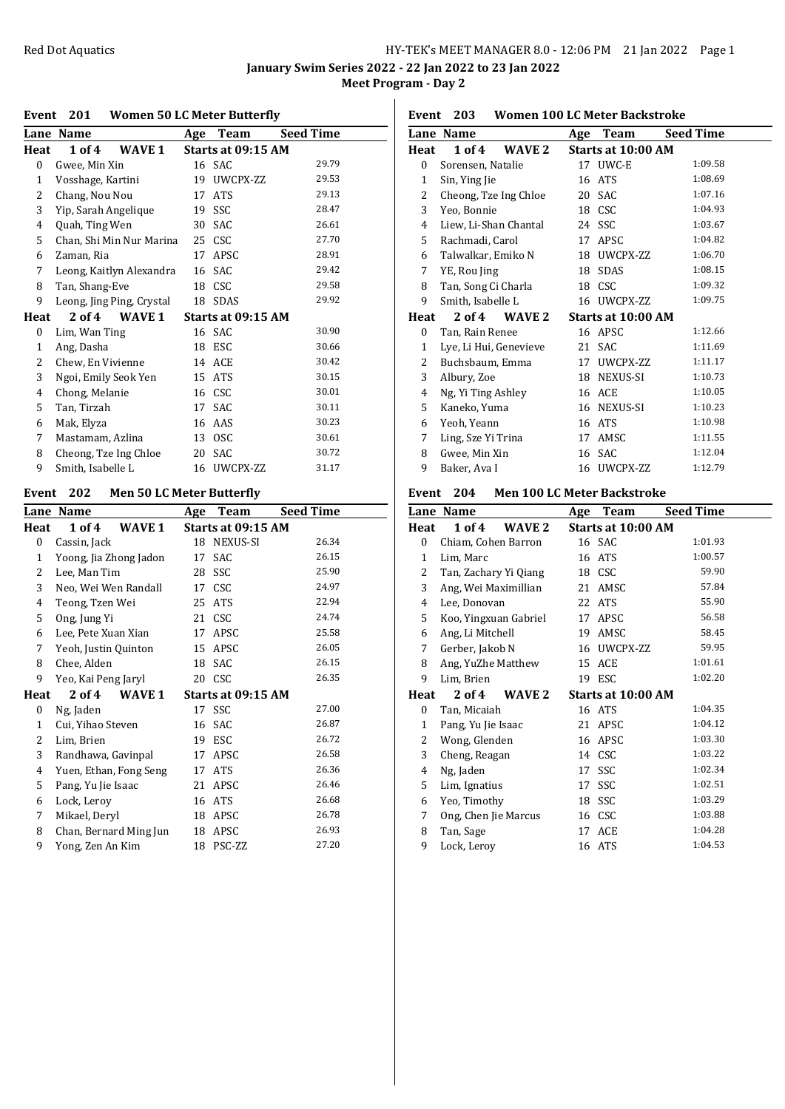**January Swim Series 2022 - 22 Jan 2022 to 23 Jan 2022 Meet Program - Day 2**

## **Event 201 Women 50 LC Meter Butterfly**

| Lane           | <b>Name</b>               | Age | Team               | <b>Seed Time</b> |
|----------------|---------------------------|-----|--------------------|------------------|
| Heat           | 1 of 4<br><b>WAVE 1</b>   |     | Starts at 09:15 AM |                  |
| 0              | Gwee, Min Xin             |     | 16 SAC             | 29.79            |
| 1              | Vosshage, Kartini         | 19  | UWCPX-ZZ           | 29.53            |
| 2              | Chang, Nou Nou            | 17  | <b>ATS</b>         | 29.13            |
| 3              | Yip, Sarah Angelique      | 19  | SSC                | 28.47            |
| 4              | Quah, Ting Wen            | 30  | <b>SAC</b>         | 26.61            |
| 5              | Chan, Shi Min Nur Marina  |     | 25 CSC             | 27.70            |
| 6              | Zaman, Ria                | 17  | APSC               | 28.91            |
| 7              | Leong, Kaitlyn Alexandra  |     | 16 SAC             | 29.42            |
| 8              | Tan, Shang-Eve            | 18  | CSC                | 29.58            |
| 9              | Leong, Jing Ping, Crystal |     | 18 SDAS            | 29.92            |
| Heat           | $2$ of 4<br>WAVE 1        |     | Starts at 09:15 AM |                  |
| 0              | Lim, Wan Ting             |     | 16 SAC             | 30.90            |
| 1              | Ang, Dasha                | 18  | ESC                | 30.66            |
| 2              | Chew, En Vivienne         | 14  | ACE                | 30.42            |
| 3              | Ngoi, Emily Seok Yen      | 15  | ATS                | 30.15            |
| $\overline{4}$ | Chong, Melanie            |     | 16 CSC             | 30.01            |
| 5              | Tan, Tirzah               | 17  | SAC                | 30.11            |
| 6              | Mak, Elyza                | 16  | AAS                | 30.23            |
| 7              | Mastamam, Azlina          | 13  | <b>OSC</b>         | 30.61            |
| 8              | Cheong, Tze Ing Chloe     | 20  | SAC                | 30.72            |
| 9              | Smith, Isabelle L         | 16  | UWCPX-ZZ           | 31.17            |
|                |                           |     |                    |                  |

## **Event 202 Men 50 LC Meter Butterfly**

|              | Lane Name              | Age | Team               | <b>Seed Time</b> |
|--------------|------------------------|-----|--------------------|------------------|
| Heat         | 1 of 4<br>WAVE 1       |     | Starts at 09:15 AM |                  |
| 0            | Cassin, Jack           |     | 18 NEXUS-SI        | 26.34            |
| $\mathbf{1}$ | Yoong, Jia Zhong Jadon | 17  | SAC                | 26.15            |
| 2            | Lee, Man Tim           | 28  | SSC                | 25.90            |
| 3            | Neo, Wei Wen Randall   | 17  | <b>CSC</b>         | 24.97            |
| 4            | Teong, Tzen Wei        |     | 25 ATS             | 22.94            |
| 5            | Ong, Jung Yi           |     | 21 CSC             | 24.74            |
| 6            | Lee, Pete Xuan Xian    | 17  | APSC               | 25.58            |
| 7            | Yeoh, Justin Quinton   | 15  | APSC               | 26.05            |
| 8            | Chee, Alden            | 18  | SAC                | 26.15            |
| 9            | Yeo, Kai Peng Jaryl    |     | 20 CSC             | 26.35            |
| Heat         | 2 of 4<br>WAVE 1       |     | Starts at 09:15 AM |                  |
| 0            | Ng, Jaden              |     | 17 SSC             | 27.00            |
| $\mathbf{1}$ | Cui, Yihao Steven      |     | 16 SAC             | 26.87            |
| 2            | Lim, Brien             | 19  | ESC                | 26.72            |
| 3            | Randhawa, Gavinpal     | 17  | APSC               | 26.58            |
| 4            | Yuen, Ethan, Fong Seng | 17  | <b>ATS</b>         | 26.36            |
| 5            | Pang, Yu Jie Isaac     | 21  | APSC               | 26.46            |
| 6            | Lock, Leroy            |     | 16 ATS             | 26.68            |
| 7            | Mikael, Deryl          | 18  | APSC               | 26.78            |
| 8            | Chan, Bernard Ming Jun | 18  | APSC               | 26.93            |
| 9            | Yong, Zen An Kim       | 18  | PSC-ZZ             | 27.20            |
|              |                        |     |                    |                  |

| Event 203 |  | Women 100 LC Meter Backstroke |
|-----------|--|-------------------------------|
|-----------|--|-------------------------------|

|      | $n$ onion 100 nor-roter $D$ |     |                    |                  |
|------|-----------------------------|-----|--------------------|------------------|
|      | Lane Name                   | Age | Team               | <b>Seed Time</b> |
| Heat | $1$ of $4$<br>WAVE 2        |     | Starts at 10:00 AM |                  |
| 0    | Sorensen, Natalie           |     | 17 UWC-E           | 1:09.58          |
| 1    | Sin, Ying Jie               |     | 16 ATS             | 1:08.69          |
| 2    | Cheong, Tze Ing Chloe       |     | 20 SAC             | 1:07.16          |
| 3    | Yeo, Bonnie                 |     | 18 CSC             | 1:04.93          |
| 4    | Liew, Li-Shan Chantal       |     | 24 SSC             | 1:03.67          |
| 5    | Rachmadi, Carol             | 17  | APSC               | 1:04.82          |
| 6    | Talwalkar, Emiko N          |     | 18 UWCPX-ZZ        | 1:06.70          |
| 7    | YE, Rou Jing                |     | 18 SDAS            | 1:08.15          |
| 8    | Tan, Song Ci Charla         |     | 18 CSC             | 1:09.32          |
| 9    | Smith, Isabelle L           |     | 16 UWCPX-ZZ        | 1:09.75          |
| Heat | 2 of 4 WAVE 2               |     | Starts at 10:00 AM |                  |
| 0    | Tan, Rain Renee             |     | 16 APSC            | 1:12.66          |
| 1    | Lye, Li Hui, Genevieve      |     | 21 SAC             | 1:11.69          |
| 2    | Buchsbaum, Emma             |     | 17 UWCPX-ZZ        | 1:11.17          |
| 3    | Albury, Zoe                 |     | 18 NEXUS-SI        | 1:10.73          |
| 4    | Ng, Yi Ting Ashley          |     | 16 ACE             | 1:10.05          |
| 5    | Kaneko, Yuma                |     | 16 NEXUS-SI        | 1:10.23          |
| 6    | Yeoh, Yeann                 |     | 16 ATS             | 1:10.98          |
| 7    | Ling, Sze Yi Trina          |     | 17 AMSC            | 1:11.55          |
| 8    | Gwee, Min Xin               |     | 16 SAC             | 1:12.04          |
| 9    | Baker, Ava I                |     | 16 UWCPX-ZZ        | 1:12.79          |

### **Event 204 Men 100 LC Meter Backstroke**

| Lane Name          | Age | Team                                                                                                                                                            | <b>Seed Time</b>                                                                                                                                                                                                            |
|--------------------|-----|-----------------------------------------------------------------------------------------------------------------------------------------------------------------|-----------------------------------------------------------------------------------------------------------------------------------------------------------------------------------------------------------------------------|
| $1$ of $4$         |     |                                                                                                                                                                 |                                                                                                                                                                                                                             |
|                    |     |                                                                                                                                                                 | 1:01.93                                                                                                                                                                                                                     |
| Lim, Marc          |     | <b>ATS</b>                                                                                                                                                      | 1:00.57                                                                                                                                                                                                                     |
|                    |     |                                                                                                                                                                 | 59.90                                                                                                                                                                                                                       |
|                    |     | AMSC                                                                                                                                                            | 57.84                                                                                                                                                                                                                       |
| Lee, Donovan       |     |                                                                                                                                                                 | 55.90                                                                                                                                                                                                                       |
|                    |     | APSC                                                                                                                                                            | 56.58                                                                                                                                                                                                                       |
| Ang, Li Mitchell   |     | AMSC                                                                                                                                                            | 58.45                                                                                                                                                                                                                       |
| Gerber, Jakob N    |     |                                                                                                                                                                 | 59.95                                                                                                                                                                                                                       |
|                    |     |                                                                                                                                                                 | 1:01.61                                                                                                                                                                                                                     |
| Lim, Brien         |     |                                                                                                                                                                 | 1:02.20                                                                                                                                                                                                                     |
| 2 of 4             |     |                                                                                                                                                                 |                                                                                                                                                                                                                             |
| Tan, Micaiah       |     |                                                                                                                                                                 | 1:04.35                                                                                                                                                                                                                     |
| Pang, Yu Jie Isaac |     |                                                                                                                                                                 | 1:04.12                                                                                                                                                                                                                     |
| Wong, Glenden      |     |                                                                                                                                                                 | 1:03.30                                                                                                                                                                                                                     |
| Cheng, Reagan      |     |                                                                                                                                                                 | 1:03.22                                                                                                                                                                                                                     |
| Ng, Jaden          |     | SSC                                                                                                                                                             | 1:02.34                                                                                                                                                                                                                     |
| Lim, Ignatius      |     | SSC                                                                                                                                                             | 1:02.51                                                                                                                                                                                                                     |
| Yeo, Timothy       |     |                                                                                                                                                                 | 1:03.29                                                                                                                                                                                                                     |
|                    |     |                                                                                                                                                                 | 1:03.88                                                                                                                                                                                                                     |
| Tan, Sage          |     | ACE                                                                                                                                                             | 1:04.28                                                                                                                                                                                                                     |
| Lock, Leroy        |     |                                                                                                                                                                 | 1:04.53                                                                                                                                                                                                                     |
|                    |     | WAVE 2<br>Chiam, Cohen Barron<br>Tan, Zachary Yi Qiang<br>Ang, Wei Maximillian<br>Koo, Yingxuan Gabriel<br>Ang, YuZhe Matthew<br>WAVE 2<br>Ong, Chen Jie Marcus | Starts at 10:00 AM<br>16 SAC<br>16<br>18 CSC<br>21<br>22 ATS<br>17<br>19<br>16 UWCPX-ZZ<br>15 ACE<br>19 ESC<br>Starts at 10:00 AM<br>16 ATS<br>21 APSC<br>16 APSC<br>14 CSC<br>17<br>17<br>18 SSC<br>16 CSC<br>17<br>16 ATS |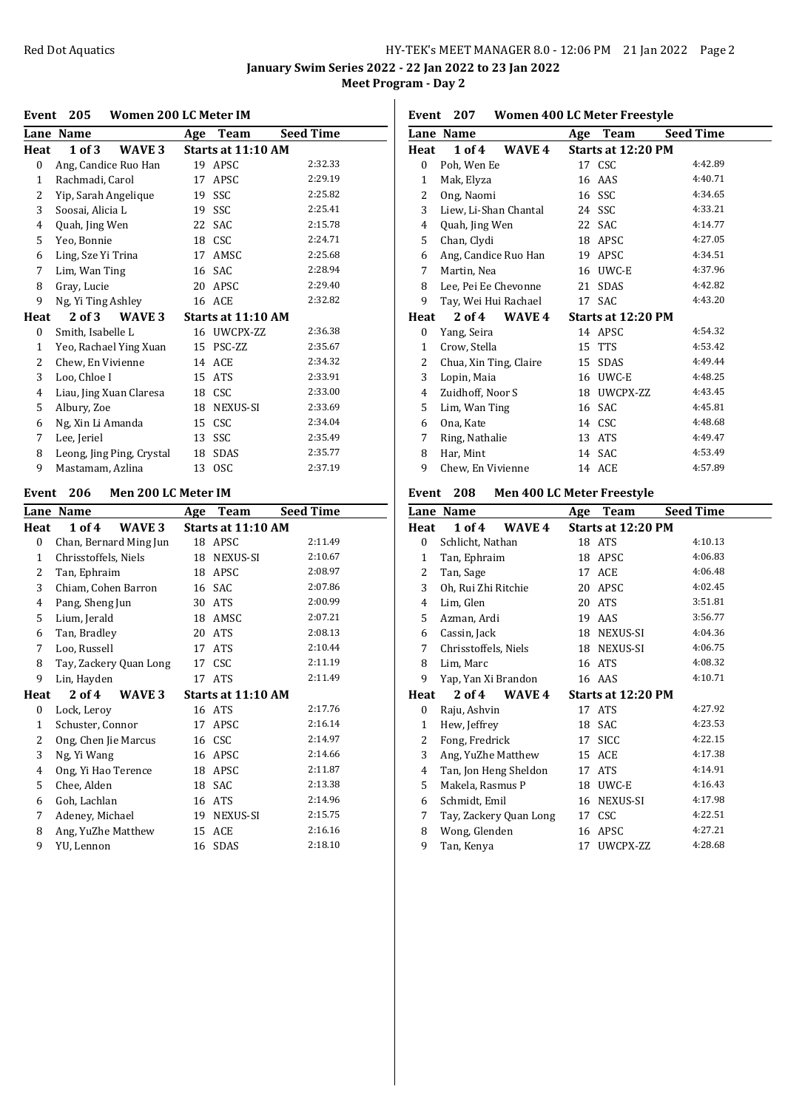**January Swim Series 2022 - 22 Jan 2022 to 23 Jan 2022 Meet Program - Day 2**

#### **Event 205 Women 200 LC Meter IM**

|                | Lane Name                 | Age | Team               | <b>Seed Time</b> |
|----------------|---------------------------|-----|--------------------|------------------|
| Heat           | $1$ of $3$<br>WAVE 3      |     | Starts at 11:10 AM |                  |
| $\mathbf{0}$   | Ang, Candice Ruo Han      |     | 19 APSC            | 2:32.33          |
| 1              | Rachmadi, Carol           | 17  | <b>APSC</b>        | 2:29.19          |
| 2              | Yip, Sarah Angelique      | 19  | <b>SSC</b>         | 2:25.82          |
| 3              | Soosai, Alicia L          | 19  | SSC                | 2:25.41          |
| $\overline{4}$ | Quah, Jing Wen            |     | 22 SAC             | 2:15.78          |
| 5              | Yeo, Bonnie               |     | 18 CSC             | 2:24.71          |
| 6              | Ling, Sze Yi Trina        | 17  | AMSC               | 2:25.68          |
| 7              | Lim, Wan Ting             |     | 16 SAC             | 2:28.94          |
| 8              | Gray, Lucie               | 20  | APSC               | 2:29.40          |
| 9              | Ng, Yi Ting Ashley        |     | 16 ACE             | 2:32.82          |
| Heat           | $2$ of $3$<br>WAVE 3      |     | Starts at 11:10 AM |                  |
| $\theta$       | Smith, Isabelle L         |     | 16 UWCPX-ZZ        | 2:36.38          |
| $\mathbf{1}$   | Yeo, Rachael Ying Xuan    | 15  | PSC-ZZ             | 2:35.67          |
| 2              | Chew, En Vivienne         | 14  | ACE                | 2:34.32          |
| 3              | Loo, Chloe I              | 15  | ATS                | 2:33.91          |
| 4              | Liau, Jing Xuan Claresa   |     | 18 CSC             | 2:33.00          |
| 5              | Albury, Zoe               | 18  | NEXUS-SI           | 2:33.69          |
| 6              | Ng, Xin Li Amanda         | 15  | <b>CSC</b>         | 2:34.04          |
| 7              | Lee, Jeriel               | 13  | SSC                | 2:35.49          |
| 8              | Leong, Jing Ping, Crystal | 18  | SDAS               | 2:35.77          |
| 9              | Mastamam, Azlina          | 13  | <b>OSC</b>         | 2:37.19          |
|                |                           |     |                    |                  |

## **Event 206 Men 200 LC Meter IM**

|              | Lane Name                     | Age | Team               | <b>Seed Time</b> |
|--------------|-------------------------------|-----|--------------------|------------------|
| Heat         | 1 of 4<br><b>WAVE 3</b>       |     | Starts at 11:10 AM |                  |
| 0            | Chan, Bernard Ming Jun        | 18  | APSC               | 2:11.49          |
| $\mathbf{1}$ | Chrisstoffels, Niels          |     | 18 NEXUS-SI        | 2:10.67          |
| 2            | Tan, Ephraim                  | 18  | APSC               | 2:08.97          |
| 3            | Chiam, Cohen Barron           |     | 16 SAC             | 2:07.86          |
| 4            | Pang, Sheng Jun               |     | 30 ATS             | 2:00.99          |
| 5            | Lium, Jerald                  | 18  | AMSC               | 2:07.21          |
| 6            | Tan, Bradley                  | 20  | <b>ATS</b>         | 2:08.13          |
| 7            | Loo, Russell                  | 17  | ATS                | 2:10.44          |
| 8            | Tay, Zackery Quan Long        |     | 17 CSC             | 2:11.19          |
| 9            | Lin, Hayden                   |     | 17 ATS             | 2:11.49          |
| Heat         | $2$ of 4<br>WAVE <sub>3</sub> |     | Starts at 11:10 AM |                  |
| 0            | Lock, Leroy                   |     | 16 ATS             | 2:17.76          |
| $\mathbf{1}$ | Schuster, Connor              | 17  | APSC               | 2:16.14          |
| 2            | Ong, Chen Jie Marcus          |     | 16 CSC             | 2:14.97          |
| 3            | Ng, Yi Wang                   | 16  | APSC               | 2:14.66          |
| 4            | Ong, Yi Hao Terence           | 18  | APSC               | 2:11.87          |
| 5            | Chee, Alden                   | 18  | <b>SAC</b>         | 2:13.38          |
| 6            | Goh, Lachlan                  |     | 16 ATS             | 2:14.96          |
| 7            | Adeney, Michael               |     | 19 NEXUS-SI        | 2:15.75          |
| 8            | Ang, YuZhe Matthew            | 15  | ACE                | 2:16.16          |
| 9            | YU, Lennon                    | 16  | SDAS               | 2:18.10          |
|              |                               |     |                    |                  |

| Event 207 |  | <b>Women 400 LC Meter Freestyle</b> |  |
|-----------|--|-------------------------------------|--|
|-----------|--|-------------------------------------|--|

|              | Lane Name               | Age | Team               | <b>Seed Time</b> |
|--------------|-------------------------|-----|--------------------|------------------|
| Heat         | 1 of 4<br><b>WAVE 4</b> |     | Starts at 12:20 PM |                  |
| 0            | Poh, Wen Ee             |     | 17 CSC             | 4:42.89          |
| $\mathbf{1}$ | Mak, Elyza              | 16  | AAS                | 4:40.71          |
| 2            | Ong, Naomi              |     | 16 SSC             | 4:34.65          |
| 3            | Liew, Li-Shan Chantal   |     | 24 SSC             | 4:33.21          |
| 4            | Quah, Jing Wen          |     | 22 SAC             | 4:14.77          |
| 5            | Chan, Clydi             |     | 18 APSC            | 4:27.05          |
| 6            | Ang, Candice Ruo Han    | 19  | APSC               | 4:34.51          |
| 7            | Martin, Nea             |     | 16 UWC-E           | 4:37.96          |
| 8            | Lee, Pei Ee Chevonne    |     | 21 SDAS            | 4:42.82          |
| 9            | Tay, Wei Hui Rachael    |     | 17 SAC             | 4:43.20          |
| Heat         | 2 of 4<br>WAVE 4        |     | Starts at 12:20 PM |                  |
| 0            | Yang, Seira             |     | 14 APSC            | 4:54.32          |
| $\mathbf{1}$ | Crow, Stella            |     | 15 TTS             | 4:53.42          |
| 2            | Chua, Xin Ting, Claire  |     | 15 SDAS            | 4:49.44          |
| 3            | Lopin, Maia             |     | 16 UWC-E           | 4:48.25          |
| 4            | Zuidhoff, Noor S        |     | 18 UWCPX-ZZ        | 4:43.45          |
| 5            | Lim, Wan Ting           |     | 16 SAC             | 4:45.81          |
| 6            | Ona, Kate               |     | 14 CSC             | 4:48.68          |
| 7            | Ring, Nathalie          |     | 13 ATS             | 4:49.47          |
| 8            | Har, Mint               |     | 14 SAC             | 4:53.49          |
| 9            | Chew, En Vivienne       |     | 14 ACE             | 4:57.89          |

### **Event 208 Men 400 LC Meter Freestyle**

|      | Lane Name             |                        | <u>Age</u> | Team               | <b>Seed Time</b> |
|------|-----------------------|------------------------|------------|--------------------|------------------|
| Heat | $1$ of $4$            | <b>WAVE 4</b>          |            | Starts at 12:20 PM |                  |
| 0    | Schlicht, Nathan      |                        |            | 18 ATS             | 4:10.13          |
| 1    | Tan, Ephraim          |                        | 18         | APSC               | 4:06.83          |
| 2    | Tan, Sage             |                        | 17         | ACE                | 4:06.48          |
| 3    | Oh, Rui Zhi Ritchie   |                        | 20         | APSC               | 4:02.45          |
| 4    | Lim, Glen             |                        | 20         | <b>ATS</b>         | 3:51.81          |
| 5    | Azman, Ardi           |                        | 19         | AAS                | 3:56.77          |
| 6    | Cassin, Jack          |                        | 18         | NEXUS-SI           | 4:04.36          |
| 7    | Chrisstoffels, Niels  |                        |            | 18 NEXUS-SI        | 4:06.75          |
| 8    | Lim, Marc             |                        |            | 16 ATS             | 4:08.32          |
| 9    | Yap, Yan Xi Brandon   |                        |            | 16 AAS             | 4:10.71          |
| Heat | 2 of 4                | WAVE 4                 |            | Starts at 12:20 PM |                  |
| 0    | Raju, Ashvin          |                        | 17         | <b>ATS</b>         | 4:27.92          |
| 1    | Hew, Jeffrey          |                        | 18         | SAC                | 4:23.53          |
| 2    | Fong, Fredrick        |                        | 17         | <b>SICC</b>        | 4:22.15          |
| 3    | Ang, YuZhe Matthew    |                        |            | 15 ACE             | 4:17.38          |
| 4    | Tan, Jon Heng Sheldon |                        |            | 17 ATS             | 4:14.91          |
| 5    | Makela, Rasmus P      |                        |            | 18 UWC-E           | 4:16.43          |
| 6    | Schmidt, Emil         |                        | 16         | NEXUS-SI           | 4:17.98          |
| 7    |                       | Tay, Zackery Quan Long |            | 17 CSC             | 4:22.51          |
| 8    | Wong, Glenden         |                        | 16         | APSC               | 4:27.21          |
| 9    | Tan, Kenya            |                        | 17         | UWCPX-ZZ           | 4:28.68          |
|      |                       |                        |            |                    |                  |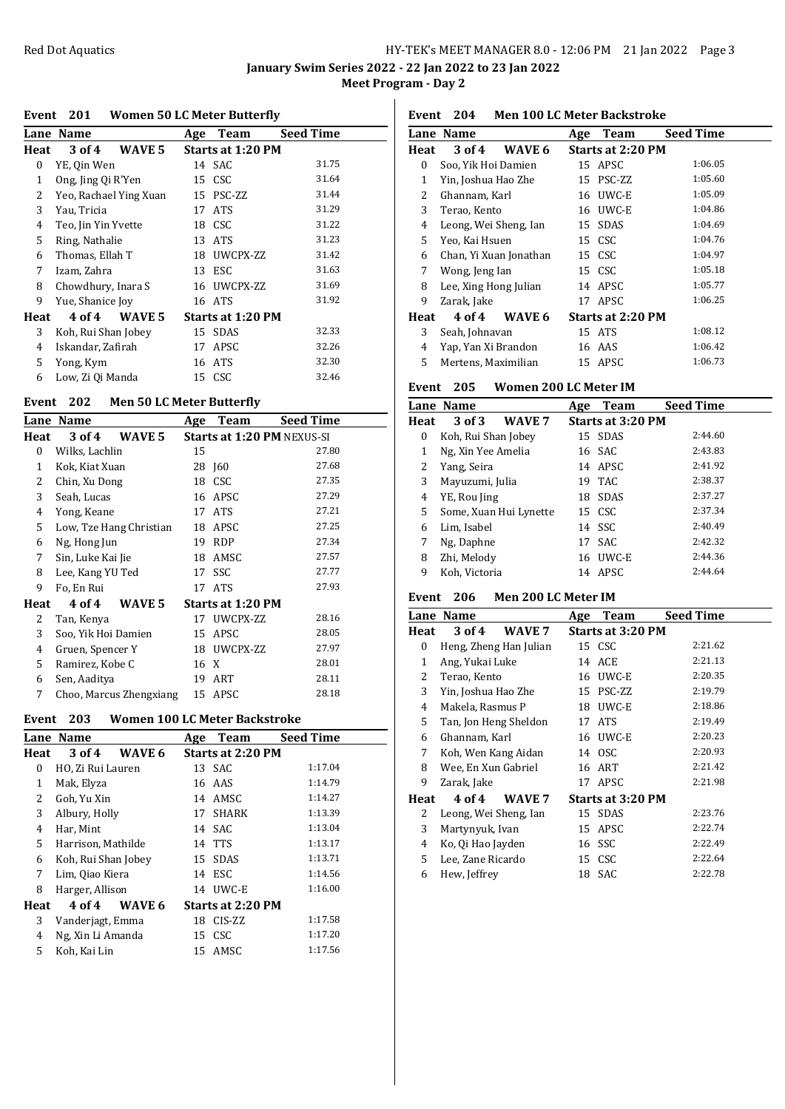**January Swim Series 2022 - 22 Jan 2022 to 23 Jan 2022 Meet Program - Day 2**

#### **Event 201 Women 50 LC Meter Butterfly**

|      | <b>Lane Name</b>            | Age | Team                     | <b>Seed Time</b> |
|------|-----------------------------|-----|--------------------------|------------------|
| Heat | 3 of 4<br>WAVE 5            |     | <b>Starts at 1:20 PM</b> |                  |
| 0    | YE, Qin Wen                 |     | 14 SAC                   | 31.75            |
| 1    | Ong, Jing Qi R'Yen          |     | 15 CSC                   | 31.64            |
| 2    | Yeo, Rachael Ying Xuan      |     | 15 PSC-ZZ                | 31.44            |
| 3    | Yau, Tricia                 | 17  | <b>ATS</b>               | 31.29            |
| 4    | Teo, Jin Yin Yvette         |     | 18 CSC                   | 31.22            |
| 5    | Ring, Nathalie              |     | 13 ATS                   | 31.23            |
| 6    | Thomas, Ellah T             |     | 18 UWCPX-ZZ              | 31.42            |
| 7    | Izam, Zahra                 |     | 13 ESC                   | 31.63            |
| 8    | Chowdhury, Inara S          |     | 16 UWCPX-ZZ              | 31.69            |
| 9    | Yue, Shanice Joy            |     | 16 ATS                   | 31.92            |
| Heat | 4 of 4<br>WAVE <sub>5</sub> |     | Starts at 1:20 PM        |                  |
| 3    | Koh, Rui Shan Jobey         | 15  | <b>SDAS</b>              | 32.33            |
| 4    | Iskandar, Zafirah           | 17  | APSC                     | 32.26            |
| 5    | Yong, Kym                   |     | 16 ATS                   | 32.30            |
| 6    | Low, Zi Qi Manda            |     | 15 CSC                   | 32.46            |

#### **Event 202 Men 50 LC Meter Butterfly**

| Lane     | <b>Name</b>                 | Age  | Team                              | <b>Seed Time</b> |
|----------|-----------------------------|------|-----------------------------------|------------------|
| Heat     | 3 of 4<br>WAVE <sub>5</sub> |      | <b>Starts at 1:20 PM NEXUS-SI</b> |                  |
| $\theta$ | Wilks, Lachlin              | 15   |                                   | 27.80            |
| 1        | Kok, Kiat Xuan              | 28   | <b>160</b>                        | 27.68            |
| 2        | Chin, Xu Dong               | 18   | CSC                               | 27.35            |
| 3        | Seah, Lucas                 | 16   | APSC                              | 27.29            |
| 4        | Yong, Keane                 | 17   | ATS                               | 27.21            |
| 5        | Low, Tze Hang Christian     | 18   | APSC                              | 27.25            |
| 6        | Ng, Hong Jun                | 19   | <b>RDP</b>                        | 27.34            |
| 7        | Sin, Luke Kai Jie           | 18   | AMSC                              | 27.57            |
| 8        | Lee, Kang YU Ted            |      | 17 SSC                            | 27.77            |
| 9        | Fo, En Rui                  |      | 17 ATS                            | 27.93            |
| Heat     | 4 of 4<br>WAVE 5            |      | Starts at 1:20 PM                 |                  |
| 2        | Tan, Kenya                  |      | 17 UWCPX-ZZ                       | 28.16            |
| 3        | Soo, Yik Hoi Damien         | 15   | APSC                              | 28.05            |
| 4        | Gruen, Spencer Y            |      | 18 UWCPX-ZZ                       | 27.97            |
| 5        | Ramirez, Kobe C             | 16 X |                                   | 28.01            |
| 6        | Sen, Aaditya                | 19   | ART                               | 28.11            |
| 7        | Choo, Marcus Zhengxiang     |      | 15 APSC                           | 28.18            |

#### **Event 203 Women 100 LC Meter Backstroke**

|      | Lane Name           |        | Age | Team                     | <b>Seed Time</b> |  |
|------|---------------------|--------|-----|--------------------------|------------------|--|
| Heat | 3 of 4              | WAVE 6 |     | <b>Starts at 2:20 PM</b> |                  |  |
| 0    | HO, Zi Rui Lauren   |        |     | 13 SAC                   | 1:17.04          |  |
| 1    | Mak, Elyza          |        |     | 16 AAS                   | 1:14.79          |  |
| 2    | Goh, Yu Xin         |        |     | 14 AMSC                  | 1:14.27          |  |
| 3    | Albury, Holly       |        |     | 17 SHARK                 | 1:13.39          |  |
| 4    | Har, Mint           |        |     | 14 SAC                   | 1:13.04          |  |
| 5    | Harrison, Mathilde  |        |     | 14 TTS                   | 1:13.17          |  |
| 6    | Koh, Rui Shan Jobey |        |     | 15 SDAS                  | 1:13.71          |  |
| 7    | Lim, Qiao Kiera     |        |     | 14 ESC                   | 1:14.56          |  |
| 8    | Harger, Allison     |        |     | 14 UWC-E                 | 1:16.00          |  |
| Heat | 4 of 4              | WAVE 6 |     | <b>Starts at 2:20 PM</b> |                  |  |
| 3    | Vanderjagt, Emma    |        |     | 18 CIS-ZZ                | 1:17.58          |  |
| 4    | Ng, Xin Li Amanda   |        |     | 15 CSC                   | 1:17.20          |  |
| 5    | Koh, Kai Lin        |        |     | 15 AMSC                  | 1:17.56          |  |
|      |                     |        |     |                          |                  |  |

# **Event 204 Men 100 LC Meter Backstroke**

| --<br>rich 100 nu rictel backsti one |                        |        |                          |                          |                  |  |
|--------------------------------------|------------------------|--------|--------------------------|--------------------------|------------------|--|
|                                      | Lane Name              |        | Age                      | Team                     | <b>Seed Time</b> |  |
| Heat                                 | 3 of 4                 | WAVE 6 | <b>Starts at 2:20 PM</b> |                          |                  |  |
| 0                                    | Soo, Yik Hoi Damien    |        |                          | 15 APSC                  | 1:06.05          |  |
| $\mathbf{1}$                         | Yin, Joshua Hao Zhe    |        |                          | 15 PSC-ZZ                | 1:05.60          |  |
| 2                                    | Ghannam, Karl          |        |                          | 16 UWC-E                 | 1:05.09          |  |
| 3                                    | Terao, Kento           |        |                          | 16 UWC-E                 | 1:04.86          |  |
| 4                                    | Leong, Wei Sheng, Ian  |        |                          | 15 SDAS                  | 1:04.69          |  |
| 5                                    | Yeo, Kai Hsuen         |        |                          | 15 CSC                   | 1:04.76          |  |
| 6                                    | Chan, Yi Xuan Jonathan |        |                          | 15 CSC                   | 1:04.97          |  |
| 7                                    | Wong, Jeng Ian         |        |                          | 15 CSC                   | 1:05.18          |  |
| 8                                    | Lee, Xing Hong Julian  |        |                          | 14 APSC                  | 1:05.77          |  |
| 9                                    | Zarak, Jake            |        |                          | 17 APSC                  | 1:06.25          |  |
| Heat                                 | 4 of 4                 | WAVE 6 |                          | <b>Starts at 2:20 PM</b> |                  |  |
| 3                                    | Seah, Johnavan         |        |                          | 15 ATS                   | 1:08.12          |  |
| 4                                    | Yap, Yan Xi Brandon    |        |                          | 16 AAS                   | 1:06.42          |  |
| 5                                    | Mertens, Maximilian    |        |                          | 15 APSC                  | 1:06.73          |  |

# **Event 205 Women 200 LC Meter IM**

|      | <b>Lane Name</b>            | Age | Team                     | <b>Seed Time</b> |
|------|-----------------------------|-----|--------------------------|------------------|
| Heat | 3 of 3<br>WAVE <sub>7</sub> |     | <b>Starts at 3:20 PM</b> |                  |
| 0    | Koh, Rui Shan Jobey         |     | 15 SDAS                  | 2:44.60          |
| 1    | Ng, Xin Yee Amelia          |     | 16 SAC                   | 2:43.83          |
| 2    | Yang, Seira                 |     | 14 APSC                  | 2:41.92          |
| 3    | Mayuzumi, Julia             |     | 19 TAC                   | 2:38.37          |
| 4    | YE, Rou Jing                | 18  | SDAS                     | 2:37.27          |
| 5    | Some, Xuan Hui Lynette      |     | 15 CSC                   | 2:37.34          |
| 6    | Lim, Isabel                 |     | 14 SSC                   | 2:40.49          |
| 7    | Ng, Daphne                  | 17  | SAC                      | 2:42.32          |
| 8    | Zhi, Melody                 |     | 16 UWC-E                 | 2:44.36          |
| 9    | Koh, Victoria               |     | 14 APSC                  | 2:44.64          |

## **Event 206 Men 200 LC Meter IM**

|      | Lane Name             |                        | Age | Team                     | <b>Seed Time</b> |
|------|-----------------------|------------------------|-----|--------------------------|------------------|
| Heat | 3 of 4                | WAVE 7                 |     | <b>Starts at 3:20 PM</b> |                  |
| 0    |                       | Heng, Zheng Han Julian |     | 15 CSC                   | 2:21.62          |
| 1    | Ang, Yukai Luke       |                        |     | 14 ACE                   | 2:21.13          |
| 2    | Terao, Kento          |                        |     | 16 UWC-E                 | 2:20.35          |
| 3    | Yin, Joshua Hao Zhe   |                        |     | 15 PSC-ZZ                | 2:19.79          |
| 4    | Makela, Rasmus P      |                        | 18  | UWC-E                    | 2:18.86          |
| 5    | Tan, Jon Heng Sheldon |                        |     | 17 ATS                   | 2:19.49          |
| 6    | Ghannam, Karl         |                        |     | 16 UWC-E                 | 2:20.23          |
| 7    | Koh, Wen Kang Aidan   |                        |     | 14 OSC                   | 2:20.93          |
| 8    | Wee, En Xun Gabriel   |                        |     | 16 ART                   | 2:21.42          |
| 9    | Zarak, Jake           |                        | 17  | APSC                     | 2:21.98          |
| Heat | 4 of 4                | WAVE 7                 |     | <b>Starts at 3:20 PM</b> |                  |
| 2    | Leong, Wei Sheng, Ian |                        |     | 15 SDAS                  | 2:23.76          |
| 3    | Martynyuk, Ivan       |                        |     | 15 APSC                  | 2:22.74          |
| 4    | Ko, Qi Hao Jayden     |                        |     | 16 SSC                   | 2:22.49          |
| 5    | Lee, Zane Ricardo     |                        |     | 15 CSC                   | 2:22.64          |
| 6    | Hew, Jeffrey          |                        |     | 18 SAC                   | 2:22.78          |